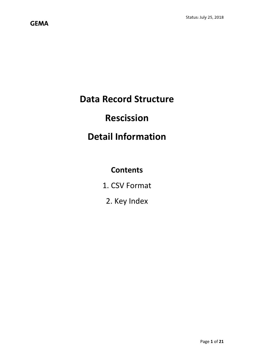# **Data Record Structure**

# **Rescission**

# **Detail Information**

# **Contents**

- 1. CSV Format
	- 2. Key Index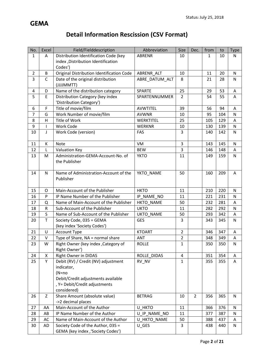# **Detail Information Rescission (CSV Format)**

| No.            | Excel                    | Field/Fielddescription                                              | Abbreviation     | Size                | Dec.           | from         | to  | <b>Type</b>  |
|----------------|--------------------------|---------------------------------------------------------------------|------------------|---------------------|----------------|--------------|-----|--------------|
| $\mathbf{1}$   | A                        | Distribution Identification Code (key                               | <b>ABRENR</b>    | 10                  |                | $\mathbf{1}$ | 10  | N            |
|                |                          | index, Distribution Identification                                  |                  |                     |                |              |     |              |
|                |                          | Codes')                                                             |                  |                     |                |              |     |              |
| $\overline{2}$ | B                        | Original Distribution Identification Code                           | ABRENR ALT       | 10                  |                | 11           | 20  | N            |
| 3              | $\mathsf{C}$             | Date of the original distribution                                   | ABRE DATUM ALT   | 8                   |                | 21           | 28  | $\mathsf{N}$ |
|                |                          | (JJJJMMTT)                                                          |                  |                     |                |              |     |              |
| 4              | D                        | Name of the distribution category                                   | <b>SPARTE</b>    | 25                  |                | 29           | 53  | A            |
| 5              | $\mathsf E$              | Distribution Category (key index                                    | SPARTENNUMMER    | $\overline{2}$      |                | 54           | 55  | A            |
|                |                          | 'Distribution Category')                                            |                  |                     |                |              |     |              |
| 6              | $\mathsf F$              | Title of movie/film                                                 | <b>AVWTITEL</b>  | 39                  |                | 56           | 94  | Α            |
| $\overline{7}$ | G                        | Work Number of movie/film                                           | <b>AVWNR</b>     | 10                  |                | 95           | 104 | $\mathsf{N}$ |
| 8              | H                        | Title of Work                                                       | WERKTITEL        | 25                  |                | 105          | 129 | Α            |
| 9              | $\overline{\phantom{a}}$ | Work Code                                                           | <b>WERKNR</b>    | 10                  |                | 130          | 139 | ${\sf N}$    |
| 10             | J                        | Work Code (version)                                                 | FAS              | 3                   |                | 140          | 142 | $\mathsf{N}$ |
|                |                          |                                                                     |                  |                     |                |              |     |              |
| 11             | К                        | Note                                                                | VM               | 3<br>$\overline{3}$ |                | 143          | 145 | N            |
| 12             | L                        | <b>Valuation Key</b>                                                | <b>BEW</b>       |                     |                | 146          | 148 | A            |
| 13             | M                        | Administration-GEMA-Account-No. of<br>the Publisher                 | <b>YKTO</b>      | 11                  |                | 149          | 159 | $\mathsf{N}$ |
|                |                          |                                                                     |                  |                     |                |              |     |              |
| 14             | $\mathsf{N}$             | Name of Administration-Account of the                               | YKTO_NAME        | 50                  |                | 160          | 209 | A            |
|                |                          | Publisher                                                           |                  |                     |                |              |     |              |
|                |                          |                                                                     |                  |                     |                |              |     |              |
| 15             | $\circ$                  | Main-Account of the Publisher                                       | <b>HKTO</b>      | 11                  |                | 210          | 220 | $\mathsf{N}$ |
| 16             | P                        | IP Name Number of the Publisher                                     | IP NAME NO       | 11                  |                | 221          | 231 | $\mathsf{N}$ |
| 17             | Q                        | Name of Main-Account of the Publisher                               | <b>HKTO NAME</b> | 50                  |                | 232          | 281 | A            |
| 18             | ${\sf R}$                | Sub-Account of the Publisher                                        | <b>UKTO</b>      | 11                  |                | 282          | 292 | ${\sf N}$    |
| 19             | S                        | Name of Sub-Account of the Publisher                                | <b>UKTO NAME</b> | 50                  |                | 293          | 342 | A            |
| 20             | $\mathsf T$              | Society Code, 035 = GEMA                                            | <b>GES</b>       | $\overline{3}$      |                | 343          | 345 | N            |
|                |                          | (key index 'Society Codes')                                         |                  |                     |                |              |     |              |
| 21             | U                        | Account Type                                                        | <b>KTOART</b>    | $\overline{2}$      |                | 346          | 347 | Α            |
| 22             | ${\sf V}$                | Type of Share, NA = normal share                                    | ANT              | $\overline{2}$      |                | 348          | 349 | ${\sf A}$    |
| 23             | W                        | Right Owner (key index, Category of                                 | <b>ROLLE</b>     | $\mathbf{1}$        |                | 350          | 350 | N            |
|                |                          | Right Owner')                                                       |                  |                     |                |              |     |              |
| 24             | X                        | Right Owner in DIDAS                                                | ROLLE DIDAS      | 4                   |                | 351          | 354 | Α            |
| 25             | Y                        | Debit (RV) / Credit (NV) adjustment                                 | RV_NV            | $\mathbf{1}$        |                | 355          | 355 | A            |
|                |                          | indicator,                                                          |                  |                     |                |              |     |              |
|                |                          | $(N=no$                                                             |                  |                     |                |              |     |              |
|                |                          | Debit/Credit adjustments available<br>, Y= Debit/Credit adjustments |                  |                     |                |              |     |              |
|                |                          | considered)                                                         |                  |                     |                |              |     |              |
| 26             | Z                        | Share Amount (absolute value)                                       | <b>BETRAG</b>    | 10                  | $\overline{2}$ | 356          | 365 | N            |
|                |                          | ->2 decimal places                                                  |                  |                     |                |              |     |              |
| 27             | AA                       | Main-Account of the Author                                          | U HKTO           | 11                  |                | 366          | 376 | N            |
| 28             | AB                       | IP Name Number of the Author                                        | U IP_NAME_NO     | 11                  |                | 377          | 387 | N            |
| 29             | AC                       | Name of Main-Account of the Author                                  | U HKTO NAME      | 50                  |                | 388          | 437 | А            |
| 30             |                          |                                                                     |                  |                     |                |              |     |              |
|                | AD                       | Society Code of the Author, 035 =                                   | U_GES            | 3                   |                | 438          | 440 | N            |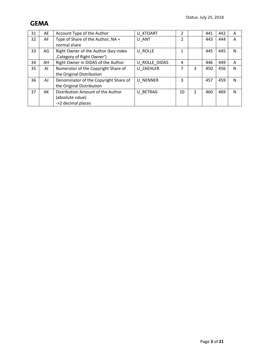| 31 | AE | Account Type of the Author            | U KTOART        | 2              |                | 441 | 442 | A |
|----|----|---------------------------------------|-----------------|----------------|----------------|-----|-----|---|
| 32 | AF | Type of Share of the Author, NA =     | U ANT           | $\overline{2}$ |                | 443 | 444 | Α |
|    |    | normal share                          |                 |                |                |     |     |   |
| 33 | AG | Right Owner of the Author (key index  | U ROLLE         | 1              |                | 445 | 445 | N |
|    |    | , Category of Right Owner')           |                 |                |                |     |     |   |
| 34 | AH | Right Owner in DIDAS of the Author    | U ROLLE DIDAS   | 4              |                | 446 | 449 | A |
| 35 | AI | Numerator of the Copyright Share of   | U ZAEHLER       | 7              | 3              | 450 | 456 | N |
|    |    | the Original Distribution             |                 |                |                |     |     |   |
| 36 | AJ | Denominator of the Copyright Share of | <b>U NENNER</b> | 3              |                | 457 | 459 | N |
|    |    | the Original Distribution             |                 |                |                |     |     |   |
| 37 | AK | Distribution Amount of the Author     | U BETRAG        | 10             | $\overline{2}$ | 460 | 469 | N |
|    |    | (absolute value)                      |                 |                |                |     |     |   |
|    |    | ->2 decimal places                    |                 |                |                |     |     |   |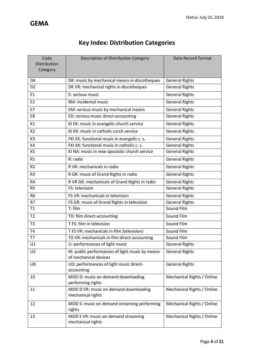| <b>Key Index: Distribution Categories</b> |  |
|-------------------------------------------|--|
|-------------------------------------------|--|

| Code<br>Distribution | Description of Distribution Category                                    | Data Record Format         |
|----------------------|-------------------------------------------------------------------------|----------------------------|
| Category             |                                                                         |                            |
| DK                   | DK: music by mechanical means in discotheques                           | <b>General Rights</b>      |
| D <sub>2</sub>       | DK VR: mechanical rights in discotheques                                | <b>General Rights</b>      |
| E1                   | E: serious music                                                        | <b>General Rights</b>      |
| E <sub>2</sub>       | <b>BM: incidental music</b>                                             | <b>General Rights</b>      |
| E7                   | EM: serious music by mechanical means                                   | <b>General Rights</b>      |
| E8                   | ED: serious music direct-accounting                                     | <b>General Rights</b>      |
| K1                   | KI EK: music in evangelic church service                                | <b>General Rights</b>      |
| K <sub>2</sub>       | KI KK: music in catholic curch service                                  | <b>General Rights</b>      |
| K <sub>3</sub>       | FKI EK: functional music in evangelic c. s.                             | <b>General Rights</b>      |
| K4                   | FKI KK: functional music in catholic c. s.                              | <b>General Rights</b>      |
| K <sub>5</sub>       | KI NA: music in new-apostolic church service                            | <b>General Rights</b>      |
| R1                   | R: radio                                                                | <b>General Rights</b>      |
| R <sub>2</sub>       | R VR: mechanicals in radio                                              | <b>General Rights</b>      |
| R <sub>3</sub>       | R GR: music of Grand Rights in radio                                    | <b>General Rights</b>      |
| R <sub>4</sub>       | R VR GR: mechanicals of Grand Rights in radio                           | <b>General Rights</b>      |
| R <sub>5</sub>       | FS: television                                                          | <b>General Rights</b>      |
| R <sub>6</sub>       | FS VR: mechanicals in television                                        | <b>General Rights</b>      |
| R7                   | FS GR: music of Grand Rights in television                              | <b>General Rights</b>      |
| T1                   | T: film                                                                 | Sound Film                 |
| T <sub>2</sub>       | TD: film direct-accounting                                              | Sound Film                 |
| T <sub>3</sub>       | T FS: film in television                                                | Sound Film                 |
| T <sub>4</sub>       | T FS VR: mechanicals in film (television)                               | Sound Film                 |
| T7                   | TD VR: mechanicals in film direct-accounting                            | Sound Film                 |
| U1                   | U: performances of light music                                          | <b>General Rights</b>      |
| U <sub>2</sub>       | M: public performances of light music by means<br>of mechanical devices | <b>General Rights</b>      |
| U8                   | UD: performances of light music direct-<br>accounting                   | <b>General Rights</b>      |
| 10                   | MOD D: music on demand downloading<br>performing rights                 | Mechanical Rights / Online |
| 11                   | MOD D VR: music on demand downloading<br>mechanical rights              | Mechanical Rights / Online |
| 12                   | MOD S: music on demand streaming performing<br>rights                   | Mechanical Rights / Online |
| 13                   | MOD S VR: music on demand streaming<br>mechanical rights                | Mechanical Rights / Online |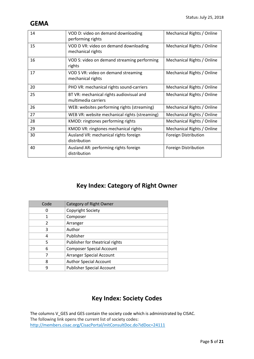| 14 | VOD D: video on demand downloading<br>performing rights         | Mechanical Rights / Online |
|----|-----------------------------------------------------------------|----------------------------|
| 15 | VOD D VR: video on demand downloading<br>mechanical rights      | Mechanical Rights / Online |
| 16 | VOD S: video on demand streaming performing<br>rights           | Mechanical Rights / Online |
| 17 | VOD S VR: video on demand streaming<br>mechanical rights        | Mechanical Rights / Online |
| 20 | PHO VR: mechanical rights sound-carriers                        | Mechanical Rights / Online |
| 25 | BT VR: mechanical rights audiovisual and<br>multimedia carriers | Mechanical Rights / Online |
| 26 | WEB: websites performing rights (streaming)                     | Mechanical Rights / Online |
| 27 | WEB VR: website mechanical rights (streaming)                   | Mechanical Rights / Online |
| 28 | KMOD: ringtones performing rights                               | Mechanical Rights / Online |
| 29 | KMOD VR: ringtones mechanical rights                            | Mechanical Rights / Online |
| 30 | Ausland VR: mechanical rights foreign<br>distribution           | Foreign Distribution       |
| 40 | Ausland AR: performing rights foreign<br>distribution           | Foreign Distribution       |

# **Key Index: Category of Right Owner**

| Code | Category of Right Owner          |
|------|----------------------------------|
|      | Copyright Society                |
|      | Composer                         |
| 2    | Arranger                         |
| 3    | Author                           |
| 4    | Publisher                        |
| 5    | Publisher for theatrical rights  |
| 6    | <b>Composer Special Account</b>  |
|      | Arranger Special Account         |
| 8    | <b>Author Special Account</b>    |
| ٩    | <b>Publisher Special Account</b> |

# **Key Index: Society Codes**

The columns V\_GES and GES contain the society code which is administrated by CISAC. The following link opens the current list of society codes: http://members.cisac.org/CisacPortal/initConsultDoc.do?idDoc=24111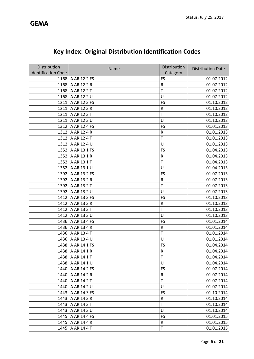| Distribution               |                     | Distribution |                          |
|----------------------------|---------------------|--------------|--------------------------|
| <b>Identification Code</b> | Name                | Category     | <b>Distribution Date</b> |
|                            | 1168   A AR 12 2 FS | FS           | 01.07.2012               |
| 1168                       | A AR 12 2 R         | R            | 01.07.2012               |
| 1168                       | A AR 12 2 T         | T            | 01.07.2012               |
| 1168                       | A AR 12 2 U         | U            | 01.07.2012               |
| 1211                       | A AR 12 3 FS        | FS           | 01.10.2012               |
| 1211                       | A AR 12 3 R         | R            | 01.10.2012               |
| 1211                       | A AR 12 3 T         | T            | 01.10.2012               |
| 1211                       | A AR 12 3 U         | U            | 01.10.2012               |
| 1312                       | A AR 12 4 FS        | FS           | 01.01.2013               |
| 1312                       | A AR 12 4 R         | ${\sf R}$    | 01.01.2013               |
| 1312                       | A AR 12 4 T         | T            | 01.01.2013               |
| 1312                       | A AR 12 4 U         | U            | 01.01.2013               |
| 1352                       | A AR 13 1 FS        | FS           | 01.04.2013               |
| 1352                       | A AR 13 1 R         | ${\sf R}$    | 01.04.2013               |
| 1352                       | A AR 13 1 T         | T            | 01.04.2013               |
| 1352                       | A AR 13 1 U         | U            | 01.04.2013               |
| 1392                       | A AR 13 2 FS        | FS           | 01.07.2013               |
| 1392                       | A AR 13 2 R         | ${\sf R}$    | 01.07.2013               |
| 1392                       | A AR 13 2 T         | T            | 01.07.2013               |
| 1392                       | A AR 13 2 U         | U            | 01.07.2013               |
| 1412                       | A AR 13 3 FS        | FS           | 01.10.2013               |
| 1412                       | A AR 13 3 R         | ${\sf R}$    | 01.10.2013               |
| 1412                       | A AR 13 3 T         | T            | 01.10.2013               |
| 1412                       | A AR 13 3 U         | U            | 01.10.2013               |
| 1436                       | A AR 13 4 FS        | FS           | 01.01.2014               |
| 1436                       | A AR 13 4 R         | R            | 01.01.2014               |
| 1436                       | A AR 13 4 T         | T            | 01.01.2014               |
| 1436                       | A AR 13 4 U         | U            | 01.01.2014               |
| 1438                       | A AR 14 1 FS        | FS           | 01.04.2014               |
|                            | 1438   A AR 14 1 R  | $\mathsf R$  | 01.04.2014               |
|                            | 1438   A AR 14 1 T  | T            | 01.04.2014               |
|                            | 1438 A AR 14 1 U    | U            | 01.04.2014               |
| 1440                       | A AR 14 2 FS        | FS           | 01.07.2014               |
| 1440                       | A AR 14 2 R         | R            | 01.07.2014               |
| 1440                       | A AR 14 2 T         | T            | 01.07.2014               |
| 1440                       | A AR 14 2 U         | U            | 01.07.2014               |
| 1443                       | A AR 14 3 FS        | FS           | 01.10.2014               |
|                            | 1443   A AR 14 3 R  | R            | 01.10.2014               |
| 1443                       | A AR 14 3 T         | T            | 01.10.2014               |
| 1443                       | A AR 14 3 U         | U            | 01.10.2014               |
| 1445                       | A AR 14 4 FS        | FS           | 01.01.2015               |
| 1445                       | A AR 14 4 R         | ${\sf R}$    | 01.01.2015               |
| 1445                       | A AR 14 4 T         | T            | 01.01.2015               |

# **Key Index: Original Distribution Identification Codes**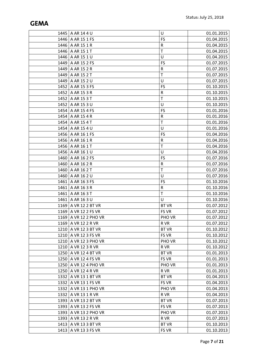|      | 1445   A AR 14 4 U      | U            | 01.01.2015 |
|------|-------------------------|--------------|------------|
|      | 1446   A AR 15 1 FS     | FS           | 01.04.2015 |
|      | 1446   A AR 15 1 R      | ${\sf R}$    | 01.04.2015 |
| 1446 | A AR 15 1 T             | $\mathsf T$  | 01.04.2015 |
|      | 1446 A AR 15 1 U        | U            | 01.04.2015 |
| 1449 | A AR 15 2 FS            | FS           | 01.07.2015 |
|      | 1449   A AR 15 2 R      | ${\sf R}$    | 01.07.2015 |
|      | 1449   A AR 15 2 T      | $\mathsf{T}$ | 01.07.2015 |
| 1449 | A AR 15 2 U             | U            | 01.07.2015 |
| 1452 | A AR 15 3 FS            | FS           | 01.10.2015 |
|      | 1452   A AR 15 3 R      | ${\sf R}$    | 01.10.2015 |
| 1452 | A AR 15 3 T             | $\top$       | 01.10.2015 |
| 1452 | A AR 15 3 U             | U            | 01.10.2015 |
|      | 1454 A AR 15 4 FS       | FS           | 01.01.2016 |
| 1454 | A AR 154R               | ${\sf R}$    | 01.01.2016 |
| 1454 | A AR 154 T              | $\mathsf T$  | 01.01.2016 |
|      | 1454   A AR 15 4 U      | U            | 01.01.2016 |
| 1456 | A AR 16 1 FS            | FS           | 01.04.2016 |
| 1456 | A AR 16 1 R             | R            | 01.04.2016 |
|      | 1456 A AR 16 1 T        | T            | 01.04.2016 |
|      | 1456 A AR 16 1 U        | U            | 01.04.2016 |
| 1460 | A AR 16 2 FS            | FS           | 01.07.2016 |
|      | 1460   A AR 16 2 R      | R            | 01.07.2016 |
| 1460 | A AR 16 2 T             | $\mathsf T$  | 01.07.2016 |
| 1460 | A AR 16 2 U             | U            | 01.07.2016 |
| 1461 | A AR 16 3 FS            | FS           | 01.10.2016 |
| 1461 | A AR 16 3 R             | ${\sf R}$    | 01.10.2016 |
| 1461 | A AR 16 3 T             | T            | 01.10.2016 |
| 1461 | A AR 16 3 U             | U            | 01.10.2016 |
|      | 1169   A VR 12 2 BT VR  | <b>BT VR</b> | 01.07.2012 |
|      | 1169 A VR 12 2 FS VR    | FS VR        | 01.07.2012 |
|      | 1169 A VR 12 2 PHO VR   | PHO VR       | 01.07.2012 |
|      | 1169   A VR 12 2 R VR   | R VR         | 01.07.2012 |
|      | 1210   A VR 12 3 BT VR  | <b>BT VR</b> | 01.10.2012 |
|      | 1210   A VR 12 3 FS VR  | FS VR        | 01.10.2012 |
|      | 1210   A VR 12 3 PHO VR | PHO VR       | 01.10.2012 |
|      | 1210   A VR 12 3 R VR   | R VR         | 01.10.2012 |
|      | 1250   A VR 12 4 BT VR  | <b>BT VR</b> | 01.01.2013 |
|      | 1250 A VR 12 4 FS VR    | FS VR        | 01.01.2013 |
|      | 1250   A VR 12 4 PHO VR | PHO VR       | 01.01.2013 |
|      | 1250   A VR 12 4 R VR   | R VR         | 01.01.2013 |
|      | 1332   A VR 13 1 BT VR  | <b>BT VR</b> | 01.04.2013 |
|      | 1332   A VR 13 1 FS VR  | FS VR        | 01.04.2013 |
|      | 1332   A VR 13 1 PHO VR | PHO VR       | 01.04.2013 |
|      | 1332   A VR 13 1 R VR   | R VR         | 01.04.2013 |
|      | 1393   A VR 13 2 BT VR  | <b>BT VR</b> | 01.07.2013 |
|      | 1393   A VR 13 2 FS VR  | FS VR        | 01.07.2013 |
|      | 1393   A VR 13 2 PHO VR | PHO VR       | 01.07.2013 |
|      | 1393   A VR 13 2 R VR   | R VR         | 01.07.2013 |
| 1413 | A VR 13 3 BT VR         | <b>BT VR</b> | 01.10.2013 |
|      | 1413   A VR 13 3 FS VR  | FS VR        | 01.10.2013 |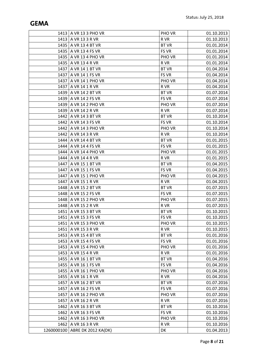|      | 1413   A VR 13 3 PHO VR          | PHO VR       | 01.10.2013 |
|------|----------------------------------|--------------|------------|
|      | 1413   A VR 13 3 R VR            | R VR         | 01.10.2013 |
|      | 1435   A VR 13 4 BT VR           | <b>BT VR</b> | 01.01.2014 |
|      | 1435   A VR 13 4 FS VR           | FS VR        | 01.01.2014 |
|      | 1435   A VR 13 4 PHO VR          | PHO VR       | 01.01.2014 |
|      | 1435   A VR 13 4 R VR            | R VR         | 01.01.2014 |
|      | 1437   A VR 14 1 BT VR           | <b>BT VR</b> | 01.04.2014 |
|      | 1437   A VR 14 1 FS VR           | FS VR        | 01.04.2014 |
|      | 1437   A VR 14 1 PHO VR          | PHO VR       | 01.04.2014 |
|      | 1437   A VR 14 1 R VR            | R VR         | 01.04.2014 |
|      | 1439   A VR 14 2 BT VR           | <b>BT VR</b> | 01.07.2014 |
|      | 1439   A VR 14 2 FS VR           | FS VR        | 01.07.2014 |
|      | 1439   A VR 14 2 PHO VR          | PHO VR       | 01.07.2014 |
|      | 1439   A VR 14 2 R VR            | R VR         | 01.07.2014 |
|      | 1442   A VR 14 3 BT VR           | <b>BT VR</b> | 01.10.2014 |
|      | 1442   A VR 14 3 FS VR           | FS VR        | 01.10.2014 |
|      | 1442   A VR 14 3 PHO VR          | PHO VR       | 01.10.2014 |
|      | 1442   A VR 14 3 R VR            | R VR         | 01.10.2014 |
|      | 1444   A VR 14 4 BT VR           | <b>BT VR</b> | 01.01.2015 |
|      | 1444   A VR 14 4 FS VR           | FS VR        | 01.01.2015 |
|      | 1444   A VR 14 4 PHO VR          | PHO VR       | 01.01.2015 |
| 1444 | A VR 14 4 R VR                   | R VR         | 01.01.2015 |
|      | 1447   A VR 15 1 BT VR           | <b>BT VR</b> | 01.04.2015 |
|      | 1447   A VR 15 1 FS VR           | FS VR        | 01.04.2015 |
| 1447 | A VR 15 1 PHO VR                 | PHO VR       | 01.04.2015 |
|      | 1447   A VR 15 1 R VR            | R VR         | 01.04.2015 |
|      | 1448   A VR 15 2 BT VR           | <b>BT VR</b> | 01.07.2015 |
|      | 1448   A VR 15 2 FS VR           | FS VR        | 01.07.2015 |
|      | 1448   A VR 15 2 PHO VR          | PHO VR       | 01.07.2015 |
|      | 1448   A VR 15 2 R VR            | R VR         | 01.07.2015 |
|      | 1451   A VR 15 3 BT VR           | <b>BT VR</b> | 01.10.2015 |
|      | 1451   A VR 15 3 FS VR           | FS VR        | 01.10.2015 |
|      | 1451   A VR 15 3 PHO VR          | PHO VR       | 01.10.2015 |
|      | 1451   A VR 15 3 R VR            | R VR         | 01.10.2015 |
|      | 1453   A VR 15 4 BT VR           | <b>BT VR</b> | 01.01.2016 |
|      | 1453   A VR 15 4 FS VR           | FS VR        | 01.01.2016 |
|      | 1453   A VR 15 4 PHO VR          | PHO VR       | 01.01.2016 |
|      | 1453   A VR 15 4 R VR            | R VR         | 01.01.2016 |
|      | 1455   A VR 16 1 BT VR           | <b>BT VR</b> | 01.04.2016 |
|      | 1455   A VR 16 1 FS VR           | FS VR        | 01.04.2016 |
|      | 1455   A VR 16 1 PHO VR          | PHO VR       | 01.04.2016 |
|      | 1455   A VR 16 1 R VR            | R VR         | 01.04.2016 |
|      | 1457   A VR 16 2 BT VR           | <b>BT VR</b> | 01.07.2016 |
|      | 1457   A VR 16 2 FS VR           | FS VR        | 01.07.2016 |
|      | 1457 A VR 16 2 PHO VR            | PHO VR       | 01.07.2016 |
|      | 1457   A VR 16 2 R VR            | R VR         | 01.07.2016 |
|      | 1462   A VR 16 3 BT VR           | <b>BT VR</b> | 01.10.2016 |
|      | 1462   A VR 16 3 FS VR           | FS VR        | 01.10.2016 |
|      | 1462   A VR 16 3 PHO VR          | PHO VR       | 01.10.2016 |
|      | 1462   A VR 16 3 R VR            | R VR         | 01.10.2016 |
|      | 1260000100   ABRE DK 2012 KA(DK) | DK           | 01.04.2013 |
|      |                                  |              |            |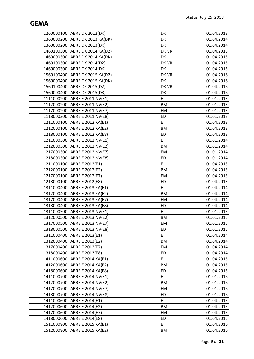|            | 1260000100 ABRE DK 2012(DK)      | DK        | 01.04.2013 |
|------------|----------------------------------|-----------|------------|
|            | 1360000200 ABRE DK 2013 KA(DK)   | DK        | 01.04.2014 |
|            | 1360000200   ABRE DK 2013(DK)    | DK        | 01.04.2014 |
|            | 1460100300 ABRE DK 2014 KA(D2)   | DK VR     | 01.04.2015 |
|            | 1460000300 ABRE DK 2014 KA(DK)   | DK        | 01.04.2015 |
|            | 1460100300 ABRE DK 2014(D2)      | DK VR     | 01.04.2015 |
|            | 1460000300   ABRE DK 2014(DK)    | DK        | 01.04.2015 |
|            | 1560100400 ABRE DK 2015 KA(D2)   | DK VR     | 01.04.2016 |
|            | 1560000400   ABRE DK 2015 KA(DK) | DK        | 01.04.2016 |
|            | 1560100400 ABRE DK 2015(D2)      | DK VR     | 01.04.2016 |
|            | 1560000400 ABRE DK 2015(DK)      | DK        | 01.04.2016 |
|            | 1111000200 ABRE E 2011 NV(E1)    | E         | 01.01.2013 |
|            | 1112000200 ABRE E 2011 NV(E2)    | <b>BM</b> | 01.01.2013 |
|            | 1117000200 ABRE E 2011 NV(E7)    | EM        | 01.01.2013 |
|            | 1118000200 ABRE E 2011 NV(E8)    | ED        | 01.01.2013 |
|            | 1211000100 ABRE E 2012 KA(E1)    | E         | 01.04.2013 |
|            | 1212000100 ABRE E 2012 KA(E2)    | <b>BM</b> | 01.04.2013 |
|            | 1218000100 ABRE E 2012 KA(E8)    | ED        | 01.04.2013 |
|            | 1211000300 ABRE E 2012 NV(E1)    | E         | 01.01.2014 |
|            | 1212000300 ABRE E 2012 NV(E2)    | <b>BM</b> | 01.01.2014 |
|            | 1217000300   ABRE E 2012 NV(E7)  | EM        | 01.01.2014 |
|            | 1218000300 ABRE E 2012 NV(E8)    | ED        | 01.01.2014 |
|            | 1211000100 ABRE E 2012(E1)       | E         | 01.04.2013 |
|            | 1212000100 ABRE E 2012(E2)       | <b>BM</b> | 01.04.2013 |
|            | 1217000100 ABRE E 2012(E7)       | EM        | 01.04.2013 |
|            | 1218000100 ABRE E 2012(E8)       | ED        | 01.04.2013 |
|            | 1311000400 ABRE E 2013 KA(E1)    | E         | 01.04.2014 |
|            | 1312000400 ABRE E 2013 KA(E2)    | <b>BM</b> | 01.04.2014 |
|            | 1317000400 ABRE E 2013 KA(E7)    | EM        | 01.04.2014 |
|            | 1318000400 ABRE E 2013 KA(E8)    | ED        | 01.04.2014 |
|            | 1311000500   ABRE E 2013 NV(E1)  | E         | 01.01.2015 |
|            | 1312000500 ABRE E 2013 NV(E2)    | <b>BM</b> | 01.01.2015 |
|            | 1317000500   ABRE E 2013 NV(E7)  | EM        | 01.01.2015 |
|            | 1318000500   ABRE E 2013 NV(E8)  | ED        | 01.01.2015 |
|            | 1311000400   ABRE E 2013(E1)     | E         | 01.04.2014 |
|            | 1312000400 ABRE E 2013(E2)       | <b>BM</b> | 01.04.2014 |
|            | 1317000400   ABRE E 2013(E7)     | EM        | 01.04.2014 |
| 1318000400 | ABRE E 2013(E8)                  | ED        | 01.04.2014 |
|            | 1411000600 ABRE E 2014 KA(E1)    | E.        | 01.04.2015 |
| 1412000600 | ABRE E 2014 KA(E2)               | BM        | 01.04.2015 |
|            | 1418000600   ABRE E 2014 KA(E8)  | ED        | 01.04.2015 |
|            | 1411000700 ABRE E 2014 NV(E1)    | E         | 01.01.2016 |
| 1412000700 | ABRE E 2014 NV(E2)               | <b>BM</b> | 01.01.2016 |
| 1417000700 | ABRE E 2014 NV(E7)               | EM        | 01.01.2016 |
|            | 1418000700   ABRE E 2014 NV(E8)  | ED        | 01.01.2016 |
| 1411000600 | ABRE E 2014(E1)                  | E         | 01.04.2015 |
| 1412000600 | ABRE E 2014(E2)                  | ΒM        | 01.04.2015 |
|            | 1417000600 ABRE E 2014(E7)       | EM        | 01.04.2015 |
| 1418000600 | ABRE E 2014(E8)                  | ED        | 01.04.2015 |
| 1511000800 | ABRE E 2015 KA(E1)               | E         | 01.04.2016 |
| 1512000800 | ABRE E 2015 KA(E2)               | BM        | 01.04.2016 |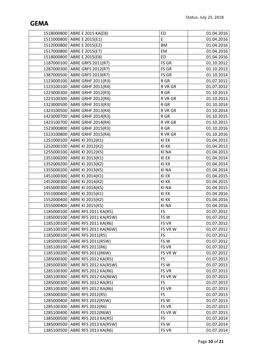|            | 1518000800 ABRE E 2015 KA(E8)      | ED        | 01.04.2016 |
|------------|------------------------------------|-----------|------------|
|            | 1511000800 ABRE E 2015(E1)         | E         | 01.04.2016 |
|            | 1512000800 ABRE E 2015(E2)         | <b>BM</b> | 01.04.2016 |
|            | 1517000800 ABRE E 2015(E7)         | EM        | 01.04.2016 |
|            | 1518000800 ABRE E 2015(E8)         | <b>ED</b> | 01.04.2016 |
|            | 1187000100 ABRE GRFS 2011(R7)      | FS GR     | 01.10.2012 |
|            | 1287000300   ABRE GRFS 2012(R7)    | FS GR     | 01.10.2013 |
|            | 1387000500   ABRE GRFS 2013(R7)    | FS GR     | 01.10.2014 |
|            | 1123000100 ABRE GRHF 2011(R3)      | R GR      | 01.07.2012 |
|            | 1123100100 ABRE GRHF 2011(R4)      | R VR GR   | 01.07.2012 |
|            | 1223000300 ABRE GRHF 2012(R3)      | R GR      | 01.10.2013 |
|            | 1223100300   ABRE GRHF 2012(R4)    | R VR GR   | 01.10.2013 |
|            | 1323000500   ABRE GRHF 2013(R3)    | R GR      | 01.10.2014 |
|            | 1323100500 ABRE GRHF 2013(R4)      | R VR GR   | 01.10.2014 |
|            | 1423000700   ABRE GRHF 2014(R3)    | R GR      | 01.10.2015 |
|            | 1423100700   ABRE GRHF 2014(R4)    | R VR GR   | 01.10.2015 |
|            | 1523000800 ABRE GRHF 2015(R3)      | R GR      | 01.10.2016 |
|            | 1523100800 ABRE GRHF 2015(R4)      | R VR GR   | 01.10.2016 |
|            | 1251000100 ABRE KI 2012(K1)        | KI EK     | 01.04.2013 |
|            | 1252000100 ABRE KI 2012(K2)        | KI KK     | 01.04.2013 |
|            | 1255000100   ABRE KI 2012(K5)      | KI NA     | 01.04.2013 |
|            | 1351000200   ABRE KI 2013(K1)      | KI EK     | 01.04.2014 |
|            | 1352000200   ABRE KI 2013(K2)      | KI KK     | 01.04.2014 |
|            | 1355000200   ABRE KI 2013(K5)      | KI NA     | 01.04.2014 |
|            | 1451000300   ABRE KI 2014(K1)      | KI EK     | 01.04.2015 |
|            | 1452000300 ABRE KI 2014(K2)        | KI KK     | 01.04.2015 |
|            | 1455000300   ABRE KI 2014(K5)      | KI NA     | 01.04.2015 |
| 1551000400 | ABRE KI 2015(K1)                   | KI EK     | 01.04.2016 |
| 1552000400 | ABRE KI 2015(K2)                   | KI KK     | 01.04.2016 |
|            | 1555000400   ABRE KI 2015(K5)      | KI NA     | 01.04.2016 |
|            | 1185000100   ABRE RFS 2011 KA(R5)  | FS        | 01.07.2012 |
|            | 1185000100 ABRE RFS 2011 KA(R5W)   | FSW       | 01.07.2012 |
|            | 1185100100   ABRE RFS 2011 KA(R6)  | FS VR     | 01.07.2012 |
|            | 1185100100   ABRE RFS 2011 KA(R6W) | FS VR W   | 01.07.2012 |
|            | 1185000100   ABRE RFS 2011(R5)     | <b>FS</b> | 01.07.2012 |
|            | 1185000200   ABRE RFS 2011(R5W)    | FSW       | 01.07.2012 |
|            | 1185100100   ABRE RFS 2011(R6)     | FS VR     | 01.07.2012 |
|            | 1185100200   ABRE RFS 2011(R6W)    | FS VR W   | 01.07.2012 |
|            | 1285000300   ABRE RFS 2012 KA(R5)  | <b>FS</b> | 01.07.2013 |
|            | 1285000300   ABRE RFS 2012 KA(R5W) | FSW       | 01.07.2013 |
|            | 1285100300   ABRE RFS 2012 KA(R6)  | FS VR     | 01.07.2013 |
|            | 1285100300   ABRE RFS 2012 KA(R6W) | FS VR W   | 01.07.2013 |
|            | 1285000300   ABRE RFS 2012 RA(R5)  | FS        | 01.07.2013 |
| 1285100300 | ABRE RFS 2012 RA(R6)               | FS VR     | 01.07.2013 |
|            | 1285000300 ABRE RFS 2012(R5)       | <b>FS</b> | 01.07.2013 |
| 1285000400 | ABRE RFS 2012(R5W)                 | FSW       | 01.07.2013 |
|            | 1285100300   ABRE RFS 2012(R6)     | FS VR     | 01.07.2013 |
|            | 1285100400   ABRE RFS 2012(R6W)    | FS VR W   | 01.07.2013 |
|            | 1385000500   ABRE RFS 2013 KA(R5)  | <b>FS</b> | 01.07.2014 |
|            | 1385000500   ABRE RFS 2013 KA(R5W) | FS W      | 01.07.2014 |
|            | 1385100500   ABRE RFS 2013 KA(R6)  | FS VR     | 01.07.2014 |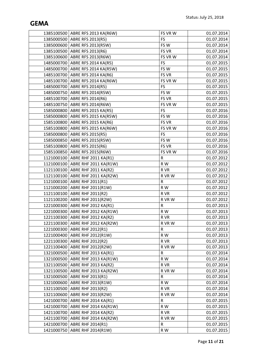|            | 1385100500   ABRE RFS 2013 KA(R6W) | FS VR W      | 01.07.2014 |
|------------|------------------------------------|--------------|------------|
|            | 1385000500 ABRE RFS 2013(R5)       | <b>FS</b>    | 01.07.2014 |
|            | 1385000600   ABRE RFS 2013(R5W)    | FSW          | 01.07.2014 |
|            | 1385100500 ABRE RFS 2013(R6)       | FS VR        | 01.07.2014 |
|            | 1385100600 ABRE RFS 2013(R6W)      | FS VR W      | 01.07.2014 |
|            | 1485000700   ABRE RFS 2014 KA(R5)  | FS           | 01.07.2015 |
|            | 1485000700   ABRE RFS 2014 KA(R5W) | FSW          | 01.07.2015 |
|            | 1485100700 ABRE RFS 2014 KA(R6)    | FS VR        | 01.07.2015 |
|            | 1485100700   ABRE RFS 2014 KA(R6W) | FS VR W      | 01.07.2015 |
|            | 1485000700   ABRE RFS 2014(R5)     | FS           | 01.07.2015 |
|            | 1485000750 ABRE RFS 2014(R5W)      | FSW          | 01.07.2015 |
|            | 1485100700 ABRE RFS 2014(R6)       | FS VR        | 01.07.2015 |
|            | 1485100750 ABRE RFS 2014(R6W)      | FS VR W      | 01.07.2015 |
|            | 1585000800 ABRE RFS 2015 KA(R5)    | <b>FS</b>    | 01.07.2016 |
|            | 1585000800   ABRE RFS 2015 KA(R5W) | FSW          | 01.07.2016 |
|            | 1585100800   ABRE RFS 2015 KA(R6)  | FS VR        | 01.07.2016 |
|            | 1585100800 ABRE RFS 2015 KA(R6W)   | FS VR W      | 01.07.2016 |
|            | 1585000800 ABRE RFS 2015(R5)       | FS           | 01.07.2016 |
|            | 1585000850 ABRE RFS 2015(R5W)      | FSW          | 01.07.2016 |
|            | 1585100800 ABRE RFS 2015(R6)       | <b>FS VR</b> | 01.07.2016 |
|            | 1585100850 ABRE RFS 2015(R6W)      | FS VR W      | 01.07.2016 |
|            | 1121000100 ABRE RHF 2011 KA(R1)    | R            | 01.07.2012 |
|            | 1121000100   ABRE RHF 2011 KA(R1W) | R W          | 01.07.2012 |
|            | 1121100100 ABRE RHF 2011 KA(R2)    | R VR         | 01.07.2012 |
|            | 1121100100   ABRE RHF 2011 KA(R2W) | R VR W       | 01.07.2012 |
|            | 1121000100 ABRE RHF 2011(R1)       | R            | 01.07.2012 |
|            | 1121000200 ABRE RHF 2011(R1W)      | R W          | 01.07.2012 |
|            | 1121100100 ABRE RHF 2011(R2)       | R VR         | 01.07.2012 |
|            | 1121100200   ABRE RHF 2011(R2W)    | R VR W       | 01.07.2012 |
|            | 1221000300 ABRE RHF 2012 KA(R1)    | R            | 01.07.2013 |
|            | 1221000300 ABRE RHF 2012 KA(R1W)   | ${\sf R}$ W  | 01.07.2013 |
|            | 1221100300 ABRE RHF 2012 KA(R2)    | R VR         | 01.07.2013 |
|            | 1221100300 ABRE RHF 2012 KA(R2W)   | R VR W       | 01.07.2013 |
|            | 1221000300 ABRE RHF 2012(R1)       | R            | 01.07.2013 |
|            | 1221000400   ABRE RHF 2012(R1W)    | R W          | 01.07.2013 |
|            | 1221100300 ABRE RHF 2012(R2)       | R VR         | 01.07.2013 |
|            | 1221100400   ABRE RHF 2012(R2W)    | R VR W       | 01.07.2013 |
|            | 1321000500 ABRE RHF 2013 KA(R1)    | R            | 01.07.2014 |
|            | 1321000500   ABRE RHF 2013 KA(R1W) | R W          | 01.07.2014 |
|            | 1321100500   ABRE RHF 2013 KA(R2)  | R VR         | 01.07.2014 |
|            | 1321100500   ABRE RHF 2013 KA(R2W) | R VR W       | 01.07.2014 |
|            | 1321000500   ABRE RHF 2013(R1)     | R            | 01.07.2014 |
|            | 1321000600   ABRE RHF 2013(R1W)    | R W          | 01.07.2014 |
|            | 1321100500 ABRE RHF 2013(R2)       | R VR         | 01.07.2014 |
|            | 1321100600   ABRE RHF 2013(R2W)    | R VR W       | 01.07.2014 |
|            | 1421000700   ABRE RHF 2014 KA(R1)  | R            | 01.07.2015 |
|            | 1421000700   ABRE RHF 2014 KA(R1W) | R W          | 01.07.2015 |
|            | 1421100700 ABRE RHF 2014 KA(R2)    | R VR         | 01.07.2015 |
|            | 1421100700   ABRE RHF 2014 KA(R2W) | R VR W       | 01.07.2015 |
| 1421000700 | <b>ABRE RHF 2014(R1)</b>           | R            | 01.07.2015 |
|            | 1421000750   ABRE RHF 2014(R1W)    | R W          | 01.07.2015 |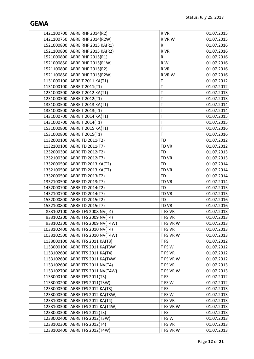|            | 1421100700 ABRE RHF 2014(R2)       | R VR            | 01.07.2015 |
|------------|------------------------------------|-----------------|------------|
|            | 1421100750 ABRE RHF 2014(R2W)      | R VR W          | 01.07.2015 |
|            | 1521000800 ABRE RHF 2015 KA(R1)    | ${\sf R}$       | 01.07.2016 |
|            | 1521100800 ABRE RHF 2015 KA(R2)    | R VR            | 01.07.2016 |
|            | 1521000800 ABRE RHF 2015(R1)       | $\mathsf R$     | 01.07.2016 |
|            | 1521000850 ABRE RHF 2015(R1W)      | R W             | 01.07.2016 |
|            | 1521100800 ABRE RHF 2015(R2)       | R VR            | 01.07.2016 |
|            | 1521100850 ABRE RHF 2015(R2W)      | R VR W          | 01.07.2016 |
|            | 1131000100 ABRE T 2011 KA(T1)      | T               | 01.07.2012 |
|            | 1131000100 ABRE T 2011(T1)         | $\mathsf T$     | 01.07.2012 |
|            | 1231000300 ABRE T 2012 KA(T1)      | T               | 01.07.2013 |
|            | 1231000300 ABRE T 2012(T1)         | T               | 01.07.2013 |
|            | 1331000500   ABRE T 2013 KA(T1)    | $\mathsf T$     | 01.07.2014 |
|            | 1331000500 ABRE T 2013(T1)         | T               | 01.07.2014 |
|            | 1431000700   ABRE T 2014 KA(T1)    | T               | 01.07.2015 |
|            | 1431000700 ABRE T 2014(T1)         | T               | 01.07.2015 |
|            | 1531000800 ABRE T 2015 KA(T1)      | T               | 01.07.2016 |
|            | 1531000800 ABRE T 2015(T1)         | $\mathsf T$     | 01.07.2016 |
|            | 1132000100 ABRE TD 2011(T2)        | <b>TD</b>       | 01.07.2012 |
|            | 1132100100 ABRE TD 2011(T7)        | TD VR           | 01.07.2012 |
|            | 1232000300 ABRE TD 2012(T2)        | <b>TD</b>       | 01.07.2013 |
|            | 1232100300 ABRE TD 2012(T7)        | TD VR           | 01.07.2013 |
|            | 1332000500 ABRE TD 2013 KA(T2)     | TD              | 01.07.2014 |
|            | 1332100500   ABRE TD 2013 KA(T7)   | TD VR           | 01.07.2014 |
|            | 1332000500 ABRE TD 2013(T2)        | TD              | 01.07.2014 |
|            | 1332100500 ABRE TD 2013(T7)        | TD VR           | 01.07.2014 |
|            | 1432000700   ABRE TD 2014(T2)      | <b>TD</b>       | 01.07.2015 |
|            | 1432100700 ABRE TD 2014(T7)        | TD VR           | 01.07.2015 |
|            | 1532000800 ABRE TD 2015(T2)        | TD              | 01.07.2016 |
|            | 1532100800 ABRE TD 2015(T7)        | TD VR           | 01.07.2016 |
|            | 833102100   ABRE TFS 2008 NV(T4)   | T FS VR         | 01.07.2013 |
|            | 933102200   ABRE TFS 2009 NV(T4)   | T FS VR         | 01.07.2013 |
|            | 933102300   ABRE TFS 2009 NV(T4W)  | T FS VR W       | 01.07.2013 |
|            | 1033102400   ABRE TFS 2010 NV(T4)  | T FS VR         | 01.07.2013 |
|            | 1033102500   ABRE TFS 2010 NV(T4W) | T FS VR W       | 01.07.2013 |
|            | 1133000100   ABRE TFS 2011 KA(T3)  | T <sub>FS</sub> | 01.07.2012 |
|            | 1133000100 ABRE TFS 2011 KA(T3W)   | T FS W          | 01.07.2012 |
|            | 1133102600 ABRE TFS 2011 KA(T4)    | T FS VR         | 01.07.2012 |
|            | 1133102600   ABRE TFS 2011 KA(T4W) | T FS VR W       | 01.07.2012 |
|            | 1133102600   ABRE TFS 2011 NV(T4)  | T FS VR         | 01.07.2013 |
|            | 1133102700   ABRE TFS 2011 NV(T4W) | T FS VR W       | 01.07.2013 |
|            | 1133000100   ABRE TFS 2011(T3)     | T FS            | 01.07.2012 |
|            | 1133000200   ABRE TFS 2011(T3W)    | T FS W          | 01.07.2012 |
| 1233000300 | ABRE TFS 2012 KA(T3)               | T <sub>FS</sub> | 01.07.2013 |
|            | 1233000300   ABRE TFS 2012 KA(T3W) | T FS W          | 01.07.2013 |
|            | 1233100300   ABRE TFS 2012 KA(T4)  | T FS VR         | 01.07.2013 |
|            | 1233100300   ABRE TFS 2012 KA(T4W) | T FS VR W       | 01.07.2013 |
|            | 1233000300   ABRE TFS 2012(T3)     | T FS            | 01.07.2013 |
|            | 1233000400   ABRE TFS 2012(T3W)    | T FS W          | 01.07.2013 |
|            | 1233100300 ABRE TFS 2012(T4)       | T FS VR         | 01.07.2013 |
|            | 1233100400   ABRE TFS 2012(T4W)    | T FS VR W       | 01.07.2013 |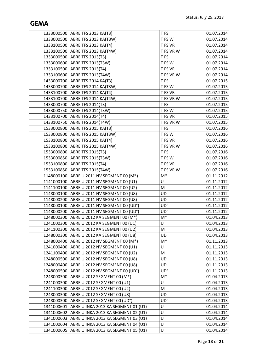|            | 1333000500   ABRE TFS 2013 KA(T3)           | T FS            | 01.07.2014 |
|------------|---------------------------------------------|-----------------|------------|
|            | 1333000500   ABRE TFS 2013 KA(T3W)          | T FS W          | 01.07.2014 |
|            | 1333100500   ABRE TFS 2013 KA(T4)           | T FS VR         | 01.07.2014 |
|            | 1333100500   ABRE TFS 2013 KA(T4W)          | T FS VR W       | 01.07.2014 |
|            | 1333000500   ABRE TFS 2013(T3)              | T FS            | 01.07.2014 |
|            | 1333000600   ABRE TFS 2013(T3W)             | T FS W          | 01.07.2014 |
|            | 1333100500 ABRE TFS 2013(T4)                | T FS VR         | 01.07.2014 |
|            | 1333100600 ABRE TFS 2013(T4W)               | T FS VR W       | 01.07.2014 |
|            | 1433000700   ABRE TFS 2014 KA(T3)           | T <sub>FS</sub> | 01.07.2015 |
|            | 1433000700   ABRE TFS 2014 KA(T3W)          | T FS W          | 01.07.2015 |
|            | 1433100700   ABRE TFS 2014 KA(T4)           | T FS VR         | 01.07.2015 |
|            | 1433100700   ABRE TFS 2014 KA(T4W)          | T FS VR W       | 01.07.2015 |
|            | 1433000700   ABRE TFS 2014(T3)              | T FS            | 01.07.2015 |
|            | 1433000750 ABRE TFS 2014(T3W)               | T FS W          | 01.07.2015 |
|            | 1433100700   ABRE TFS 2014(T4)              | T FS VR         | 01.07.2015 |
|            | 1433100750 ABRE TFS 2014(T4W)               | T FS VR W       | 01.07.2015 |
|            | 1533000800   ABRE TFS 2015 KA(T3)           | T <sub>FS</sub> | 01.07.2016 |
|            | 1533000800   ABRE TFS 2015 KA(T3W)          | T FS W          | 01.07.2016 |
|            | 1533100800 ABRE TFS 2015 KA(T4)             | T FS VR         | 01.07.2016 |
|            | 1533100800   ABRE TFS 2015 KA(T4W)          | T FS VR W       | 01.07.2016 |
|            | 1533000800   ABRE TFS 2015(T3)              | T FS            | 01.07.2016 |
|            | 1533000850   ABRE TFS 2015(T3W)             | T FS W          | 01.07.2016 |
|            | 1533100800   ABRE TFS 2015(T4)              | T FS VR         | 01.07.2016 |
|            | 1533100850   ABRE TFS 2015(T4W)             | T FS VR W       | 01.07.2016 |
|            | 1148000100   ABRE U 2011 NV SEGMENT 00 (M*) | $\mathsf{M}^*$  | 01.11.2012 |
|            | 1141000100 ABRE U 2011 NV SEGMENT 00 (U1)   | U               | 01.11.2012 |
|            | 1141100100 ABRE U 2011 NV SEGMENT 00 (U2)   | M               | 01.11.2012 |
|            | 1148000100   ABRE U 2011 NV SEGMENT 00 (U8) | UD              | 01.11.2012 |
|            | 1148000200   ABRE U 2011 NV SEGMENT 00 (U8) | UD              | 01.11.2012 |
|            | 1148000100 ABRE U 2011 NV SEGMENT 00 (UD°)  | UD°             | 01.11.2012 |
|            | 1148000200 ABRE U 2011 NV SEGMENT 00 (UD°)  | UD°             | 01.11.2012 |
|            | 1248000300   ABRE U 2012 KA SEGMENT 00 (M*) | $M^*$           | 01.04.2013 |
|            | 1241000300   ABRE U 2012 KA SEGMENT 00 (U1) | U               | 01.04.2013 |
|            | 1241100300   ABRE U 2012 KA SEGMENT 00 (U2) | M               | 01.04.2013 |
|            | 1248000300   ABRE U 2012 KA SEGMENT 00 (U8) | UD              | 01.04.2013 |
|            | 1248000400   ABRE U 2012 NV SEGMENT 00 (M*) | $M^*$           | 01.11.2013 |
|            | 1241000400   ABRE U 2012 NV SEGMENT 00 (U1) | U               | 01.11.2013 |
| 1241100400 | ABRE U 2012 NV SEGMENT 00 (U2)              | М               | 01.11.2013 |
|            | 1248000500   ABRE U 2012 NV SEGMENT 00 (U8) | UD              | 01.11.2013 |
| 1248000400 | ABRE U 2012 NV SEGMENT 00 (U8)              | UD              | 01.11.2013 |
| 1248000500 | ABRE U 2012 NV SEGMENT 00 (UD°)             | UD°             | 01.11.2013 |
|            | 1248000300   ABRE U 2012 SEGMENT 00 (M*)    | $M^*$           | 01.04.2013 |
|            | 1241000300   ABRE U 2012 SEGMENT 00 (U1)    | U               | 01.04.2013 |
| 1241100300 | ABRE U 2012 SEGMENT 00 (U2)                 | M               | 01.04.2013 |
| 1248000300 | ABRE U 2012 SEGMENT 00 (U8)                 | UD              | 01.04.2013 |
|            | 1248000300 ABRE U 2012 SEGMENT 00 (UD°)     | UD°             | 01.04.2013 |
| 1341000601 | ABRE U INKA 2013 KA SEGMENT 01 (U1)         | U               | 01.04.2014 |
| 1341000602 | ABRE U INKA 2013 KA SEGMENT 02 (U1)         | U               | 01.04.2014 |
| 1341000603 | ABRE U INKA 2013 KA SEGMENT 03 (U1)         | U               | 01.04.2014 |
| 1341000604 | ABRE U INKA 2013 KA SEGMENT 04 (U1)         | U               | 01.04.2014 |
| 1341000605 | ABRE U INKA 2013 KA SEGMENT 05 (U1)         | U               | 01.04.2014 |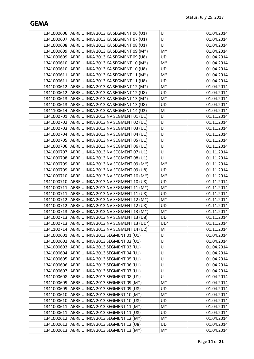|            | 1341000606   ABRE U INKA 2013 KA SEGMENT 06 (U1)              | $\sf U$        | 01.04.2014 |
|------------|---------------------------------------------------------------|----------------|------------|
|            | 1341000607   ABRE U INKA 2013 KA SEGMENT 07 (U1)              | U              | 01.04.2014 |
|            | 1341000608   ABRE U INKA 2013 KA SEGMENT 08 (U1)              | U              | 01.04.2014 |
|            | 1341000609   ABRE U INKA 2013 KA SEGMENT 09 (M*)              | $\mathsf{M}^*$ | 01.04.2014 |
|            | 1341000609 ABRE U INKA 2013 KA SEGMENT 09 (U8)                | <b>UD</b>      | 01.04.2014 |
|            | 1341000610 ABRE U INKA 2013 KA SEGMENT 10 (M*)                | $\mathsf{M}^*$ | 01.04.2014 |
|            | 1341000610   ABRE U INKA 2013 KA SEGMENT 10 (U8)              | UD             | 01.04.2014 |
|            | 1341000611   ABRE U INKA 2013 KA SEGMENT 11 (M*)              | $M^*$          | 01.04.2014 |
|            | 1341000611   ABRE U INKA 2013 KA SEGMENT 11 (U8)              | UD             | 01.04.2014 |
|            | 1341000612   ABRE U INKA 2013 KA SEGMENT 12 (M*)              | $\mathsf{M}^*$ | 01.04.2014 |
|            | 1341000612   ABRE U INKA 2013 KA SEGMENT 12 (U8)              | <b>UD</b>      | 01.04.2014 |
|            | 1341000613   ABRE U INKA 2013 KA SEGMENT 13 (M*)              | $\mathsf{M}^*$ | 01.04.2014 |
|            | 1341000613   ABRE U INKA 2013 KA SEGMENT 13 (U8)              | UD             | 01.04.2014 |
|            | 1341100614   ABRE U INKA 2013 KA SEGMENT 14 (U2)              | M              | 01.04.2014 |
|            | 1341000701   ABRE U INKA 2013 NV SEGMENT 01 (U1)              | U              | 01.11.2014 |
|            | 1341000702   ABRE U INKA 2013 NV SEGMENT 02 (U1)              | $\sf U$        | 01.11.2014 |
|            | 1341000703 ABRE U INKA 2013 NV SEGMENT 03 (U1)                | U              | 01.11.2014 |
|            | 1341000704 ABRE U INKA 2013 NV SEGMENT 04 (U1)                | U              | 01.11.2014 |
|            | 1341000705   ABRE U INKA 2013 NV SEGMENT 05 (U1)              | U              | 01.11.2014 |
|            | 1341000706   ABRE U INKA 2013 NV SEGMENT 06 (U1)              | U              | 01.11.2014 |
|            | 1341000707   ABRE U INKA 2013 NV SEGMENT 07 (U1)              | $\sf U$        | 01.11.2014 |
|            | 1341000708   ABRE U INKA 2013 NV SEGMENT 08 (U1)              | $\sf U$        | 01.11.2014 |
|            | 1341000709   ABRE U INKA 2013 NV SEGMENT 09 (M*)              | $\mathsf{M}^*$ | 01.11.2014 |
|            | 1341000709   ABRE U INKA 2013 NV SEGMENT 09 (U8)              | UD             | 01.11.2014 |
|            | 1341000710   ABRE U INKA 2013 NV SEGMENT 10 (M*)              | $\mathsf{M}^*$ | 01.11.2014 |
|            | 1341000710   ABRE U INKA 2013 NV SEGMENT 10 (U8)              | UD             | 01.11.2014 |
|            | 1341000711   ABRE U INKA 2013 NV SEGMENT 11 (M*)              | $\mathsf{M}^*$ | 01.11.2014 |
|            | 1341000711   ABRE U INKA 2013 NV SEGMENT 11 (U8)              | UD             | 01.11.2014 |
|            | 1341000712   ABRE U INKA 2013 NV SEGMENT 12 (M*)              | $M^*$          | 01.11.2014 |
|            | 1341000712   ABRE U INKA 2013 NV SEGMENT 12 (U8)              | UD             | 01.11.2014 |
|            | 1341000713   ABRE U INKA 2013 NV SEGMENT 13 (M <sup>*</sup> ) | $\mathsf{M}^*$ | 01.11.2014 |
|            | 1341000713   ABRE U INKA 2013 NV SEGMENT 13 (U8)              | UD             | 01.11.2014 |
|            | 1341000713   ABRE U INKA 2013 NV SEGMENT 13 (UD°)             | UD°            | 01.11.2014 |
|            | 1341100714   ABRE U INKA 2013 NV SEGMENT 14 (U2)              | M              | 01.11.2014 |
| 1341000601 | ABRE U INKA 2013 SEGMENT 01 (U1)                              | U              | 01.04.2014 |
|            | 1341000602   ABRE U INKA 2013 SEGMENT 02 (U1)                 | U              | 01.04.2014 |
| 1341000603 | ABRE U INKA 2013 SEGMENT 03 (U1)                              | U              | 01.04.2014 |
| 1341000604 | ABRE U INKA 2013 SEGMENT 04 (U1)                              | U              | 01.04.2014 |
|            | 1341000605   ABRE U INKA 2013 SEGMENT 05 (U1)                 | U              | 01.04.2014 |
| 1341000606 | ABRE U INKA 2013 SEGMENT 06 (U1)                              | $\sf U$        | 01.04.2014 |
| 1341000607 | ABRE U INKA 2013 SEGMENT 07 (U1)                              | U              | 01.04.2014 |
|            | 1341000608   ABRE U INKA 2013 SEGMENT 08 (U1)                 | U              | 01.04.2014 |
| 1341000609 | ABRE U INKA 2013 SEGMENT 09 (M*)                              | $M^*$          | 01.04.2014 |
| 1341000609 | ABRE U INKA 2013 SEGMENT 09 (U8)                              | UD             | 01.04.2014 |
| 1341000610 | ABRE U INKA 2013 SEGMENT 10 (M*)                              | $M^*$          | 01.04.2014 |
| 1341000610 | ABRE U INKA 2013 SEGMENT 10 (U8)                              | <b>UD</b>      | 01.04.2014 |
| 1341000611 | ABRE U INKA 2013 SEGMENT 11 (M*)                              | $M^*$          | 01.04.2014 |
| 1341000611 | ABRE U INKA 2013 SEGMENT 11 (U8)                              | <b>UD</b>      | 01.04.2014 |
| 1341000612 | ABRE U INKA 2013 SEGMENT 12 (M*)                              | $M^*$          | 01.04.2014 |
| 1341000612 | ABRE U INKA 2013 SEGMENT 12 (U8)                              | UD             | 01.04.2014 |
|            | 1341000613   ABRE U INKA 2013 SEGMENT 13 (M*)                 | $\mathsf{M}^*$ | 01.04.2014 |
|            |                                                               |                |            |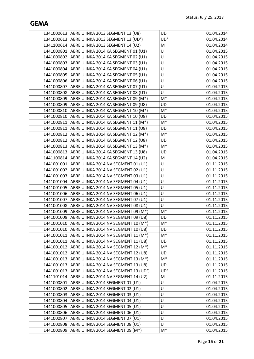|            | 1341000613   ABRE U INKA 2013 SEGMENT 13 (U8)                 | <b>UD</b>      | 01.04.2014 |
|------------|---------------------------------------------------------------|----------------|------------|
|            | 1341000613   ABRE U INKA 2013 SEGMENT 13 (UD°)                | UD°            | 01.04.2014 |
|            | 1341100614   ABRE U INKA 2013 SEGMENT 14 (U2)                 | M              | 01.04.2014 |
|            | 1441000801   ABRE U INKA 2014 KA SEGMENT 01 (U1)              | $\sf U$        | 01.04.2015 |
|            | 1441000802   ABRE U INKA 2014 KA SEGMENT 02 (U1)              | U              | 01.04.2015 |
|            | 1441000803   ABRE U INKA 2014 KA SEGMENT 03 (U1)              | U              | 01.04.2015 |
|            | 1441000804   ABRE U INKA 2014 KA SEGMENT 04 (U1)              | U              | 01.04.2015 |
|            | 1441000805   ABRE U INKA 2014 KA SEGMENT 05 (U1)              | U              | 01.04.2015 |
|            | 1441000806   ABRE U INKA 2014 KA SEGMENT 06 (U1)              | $\cup$         | 01.04.2015 |
|            | 1441000807   ABRE U INKA 2014 KA SEGMENT 07 (U1)              | U              | 01.04.2015 |
|            | 1441000808   ABRE U INKA 2014 KA SEGMENT 08 (U1)              | U              | 01.04.2015 |
|            | 1441000809   ABRE U INKA 2014 KA SEGMENT 09 (M*)              | $M^*$          | 01.04.2015 |
|            | 1441000809   ABRE U INKA 2014 KA SEGMENT 09 (U8)              | UD             | 01.04.2015 |
|            | 1441000810   ABRE U INKA 2014 KA SEGMENT 10 (M*)              | $\mathsf{M}^*$ | 01.04.2015 |
|            | 1441000810 ABRE U INKA 2014 KA SEGMENT 10 (U8)                | UD             | 01.04.2015 |
|            | 1441000811   ABRE U INKA 2014 KA SEGMENT 11 (M*)              | $\mathsf{M}^*$ | 01.04.2015 |
|            | 1441000811 ABRE U INKA 2014 KA SEGMENT 11 (U8)                | UD             | 01.04.2015 |
|            | 1441000812   ABRE U INKA 2014 KA SEGMENT 12 (M <sup>*</sup> ) | $M^*$          | 01.04.2015 |
|            | 1441000812   ABRE U INKA 2014 KA SEGMENT 12 (U8)              | UD             | 01.04.2015 |
|            | 1441000813   ABRE U INKA 2014 KA SEGMENT 13 (M*)              | $\mathsf{M}^*$ | 01.04.2015 |
|            | 1441000813   ABRE U INKA 2014 KA SEGMENT 13 (U8)              | UD             | 01.04.2015 |
|            | 1441100814   ABRE U INKA 2014 KA SEGMENT 14 (U2)              | M              | 01.04.2015 |
|            | 1441001001   ABRE U INKA 2014 NV SEGMENT 01 (U1)              | $\sf U$        | 01.11.2015 |
|            | 1441001002   ABRE U INKA 2014 NV SEGMENT 02 (U1)              | U              | 01.11.2015 |
|            | 1441001003   ABRE U INKA 2014 NV SEGMENT 03 (U1)              | U              | 01.11.2015 |
|            | 1441001004   ABRE U INKA 2014 NV SEGMENT 04 (U1)              | $\sf U$        | 01.11.2015 |
|            | 1441001005   ABRE U INKA 2014 NV SEGMENT 05 (U1)              | U              | 01.11.2015 |
|            | 1441001006   ABRE U INKA 2014 NV SEGMENT 06 (U1)              | $\sf U$        | 01.11.2015 |
|            | 1441001007   ABRE U INKA 2014 NV SEGMENT 07 (U1)              | U              | 01.11.2015 |
|            | 1441001008   ABRE U INKA 2014 NV SEGMENT 08 (U1)              | $\cup$         | 01.11.2015 |
|            | 1441001009   ABRE U INKA 2014 NV SEGMENT 09 (M*)              | $\mathsf{M}^*$ | 01.11.2015 |
|            | 1441001009   ABRE U INKA 2014 NV SEGMENT 09 (U8)              | UD             | 01.11.2015 |
|            | 1441001010   ABRE U INKA 2014 NV SEGMENT 10 (M*)              | $M^*$          | 01.11.2015 |
|            | 1441001010   ABRE U INKA 2014 NV SEGMENT 10 (U8)              | <b>UD</b>      | 01.11.2015 |
|            | 1441001011   ABRE U INKA 2014 NV SEGMENT 11 (M*)              | $M^*$          | 01.11.2015 |
|            | 1441001011   ABRE U INKA 2014 NV SEGMENT 11 (U8)              | <b>UD</b>      | 01.11.2015 |
| 1441001012 | ABRE U INKA 2014 NV SEGMENT 12 (M*)                           | $M^*$          | 01.11.2015 |
| 1441001012 | ABRE U INKA 2014 NV SEGMENT 12 (U8)                           | UD             | 01.11.2015 |
|            | 1441001013   ABRE U INKA 2014 NV SEGMENT 13 (M <sup>*</sup> ) | $M^*$          | 01.11.2015 |
|            | 1441001013   ABRE U INKA 2014 NV SEGMENT 13 (U8)              | UD             | 01.11.2015 |
| 1441001013 | ABRE U INKA 2014 NV SEGMENT 13 (UD°)                          | UD°            | 01.11.2015 |
|            | 1441101014   ABRE U INKA 2014 NV SEGMENT 14 (U2)              | M              | 01.11.2015 |
| 1441000801 | ABRE U INKA 2014 SEGMENT 01 (U1)                              | U              | 01.04.2015 |
| 1441000802 | ABRE U INKA 2014 SEGMENT 02 (U1)                              | U              | 01.04.2015 |
| 1441000803 | ABRE U INKA 2014 SEGMENT 03 (U1)                              | $\sf U$        | 01.04.2015 |
| 1441000804 | ABRE U INKA 2014 SEGMENT 04 (U1)                              | U              | 01.04.2015 |
| 1441000805 | ABRE U INKA 2014 SEGMENT 05 (U1)                              | $\sf U$        | 01.04.2015 |
| 1441000806 | ABRE U INKA 2014 SEGMENT 06 (U1)                              | U              | 01.04.2015 |
| 1441000807 | ABRE U INKA 2014 SEGMENT 07 (U1)                              | $\sf U$        | 01.04.2015 |
| 1441000808 | ABRE U INKA 2014 SEGMENT 08 (U1)                              | $\sf U$        | 01.04.2015 |
| 1441000809 | ABRE U INKA 2014 SEGMENT 09 (M*)                              | $\mathsf{M}^*$ | 01.04.2015 |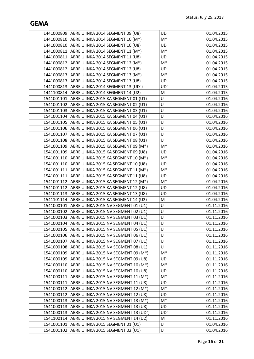|            | 1441000809   ABRE U INKA 2014 SEGMENT 09 (U8)                 | UD             | 01.04.2015 |
|------------|---------------------------------------------------------------|----------------|------------|
|            | 1441000810   ABRE U INKA 2014 SEGMENT 10 (M*)                 | $M^*$          | 01.04.2015 |
|            | 1441000810   ABRE U INKA 2014 SEGMENT 10 (U8)                 | UD             | 01.04.2015 |
|            | 1441000811   ABRE U INKA 2014 SEGMENT 11 (M*)                 | $\mathsf{M}^*$ | 01.04.2015 |
|            | 1441000811   ABRE U INKA 2014 SEGMENT 11 (U8)                 | UD             | 01.04.2015 |
|            | 1441000812   ABRE U INKA 2014 SEGMENT 12 (M*)                 | $M^*$          | 01.04.2015 |
|            | 1441000812   ABRE U INKA 2014 SEGMENT 12 (U8)                 | UD             | 01.04.2015 |
|            | 1441000813   ABRE U INKA 2014 SEGMENT 13 (M*)                 | $M^*$          | 01.04.2015 |
|            | 1441000813   ABRE U INKA 2014 SEGMENT 13 (U8)                 | UD             | 01.04.2015 |
|            | 1441000813   ABRE U INKA 2014 SEGMENT 13 (UD°)                | UD°            | 01.04.2015 |
|            | 1441100814   ABRE U INKA 2014 SEGMENT 14 (U2)                 | M              | 01.04.2015 |
|            | 1541001101   ABRE U INKA 2015 KA SEGMENT 01 (U1)              | U              | 01.04.2016 |
|            | 1541001102   ABRE U INKA 2015 KA SEGMENT 02 (U1)              | U              | 01.04.2016 |
|            | 1541001103   ABRE U INKA 2015 KA SEGMENT 03 (U1)              | $\sf U$        | 01.04.2016 |
|            | 1541001104   ABRE U INKA 2015 KA SEGMENT 04 (U1)              | U              | 01.04.2016 |
|            | 1541001105   ABRE U INKA 2015 KA SEGMENT 05 (U1)              | U              | 01.04.2016 |
|            | 1541001106   ABRE U INKA 2015 KA SEGMENT 06 (U1)              | U              | 01.04.2016 |
|            | 1541001107 ABRE U INKA 2015 KA SEGMENT 07 (U1)                | U              | 01.04.2016 |
|            | 1541001108   ABRE U INKA 2015 KA SEGMENT 08 (U1)              | $\sf U$        | 01.04.2016 |
|            | 1541001109 ABRE U INKA 2015 KA SEGMENT 09 (M*)                | $\mathsf{M}^*$ | 01.04.2016 |
|            | 1541001109   ABRE U INKA 2015 KA SEGMENT 09 (U8)              | UD             | 01.04.2016 |
|            | 1541001110   ABRE U INKA 2015 KA SEGMENT 10 (M*)              | $\mathsf{M}^*$ | 01.04.2016 |
|            | 1541001110   ABRE U INKA 2015 KA SEGMENT 10 (U8)              | <b>UD</b>      | 01.04.2016 |
|            | 1541001111   ABRE U INKA 2015 KA SEGMENT 11 (M*)              | $\mathsf{M}^*$ | 01.04.2016 |
|            | 1541001111   ABRE U INKA 2015 KA SEGMENT 11 (U8)              | UD             | 01.04.2016 |
|            | 1541001112   ABRE U INKA 2015 KA SEGMENT 12 (M <sup>*</sup> ) | $\mathsf{M}^*$ | 01.04.2016 |
|            | 1541001112   ABRE U INKA 2015 KA SEGMENT 12 (U8)              | <b>UD</b>      | 01.04.2016 |
|            | 1541001113   ABRE U INKA 2015 KA SEGMENT 13 (U8)              | <b>UD</b>      | 01.04.2016 |
|            | 1541101114   ABRE U INKA 2015 KA SEGMENT 14 (U2)              | M              | 01.04.2016 |
|            | 1541000101   ABRE U INKA 2015 NV SEGMENT 01 (U1)              | U              | 01.11.2016 |
|            | 1541000102   ABRE U INKA 2015 NV SEGMENT 02 (U1)              | $\sf U$        | 01.11.2016 |
|            | 1541000103   ABRE U INKA 2015 NV SEGMENT 03 (U1)              | U              | 01.11.2016 |
|            | 1541000104   ABRE U INKA 2015 NV SEGMENT 04 (U1)              | U              | 01.11.2016 |
|            | 1541000105   ABRE U INKA 2015 NV SEGMENT 05 (U1)              | U              | 01.11.2016 |
|            | 1541000106   ABRE U INKA 2015 NV SEGMENT 06 (U1)              | U              | 01.11.2016 |
|            | 1541000107   ABRE U INKA 2015 NV SEGMENT 07 (U1)              | U              | 01.11.2016 |
| 1541000108 | ABRE U INKA 2015 NV SEGMENT 08 (U1)                           | U              | 01.11.2016 |
| 1541000109 | ABRE U INKA 2015 NV SEGMENT 09 (M*)                           | $M^*$          | 01.11.2016 |
|            | 1541000109   ABRE U INKA 2015 NV SEGMENT 09 (U8)              | <b>UD</b>      | 01.11.2016 |
| 1541000110 | ABRE U INKA 2015 NV SEGMENT 10 (M*)                           | $M^*$          | 01.11.2016 |
| 1541000110 | ABRE U INKA 2015 NV SEGMENT 10 (U8)                           | <b>UD</b>      | 01.11.2016 |
|            | 1541000111   ABRE U INKA 2015 NV SEGMENT 11 (M*)              | $M^*$          | 01.11.2016 |
|            | 1541000111   ABRE U INKA 2015 NV SEGMENT 11 (U8)              | <b>UD</b>      | 01.11.2016 |
| 1541000112 | ABRE U INKA 2015 NV SEGMENT 12 (M*)                           | $M^*$          | 01.11.2016 |
| 1541000112 | ABRE U INKA 2015 NV SEGMENT 12 (U8)                           | <b>UD</b>      | 01.11.2016 |
| 1541000113 | ABRE U INKA 2015 NV SEGMENT 13 (M*)                           | $M^*$          | 01.11.2016 |
| 1541000113 | ABRE U INKA 2015 NV SEGMENT 13 (U8)                           | UD             | 01.11.2016 |
| 1541000113 | ABRE U INKA 2015 NV SEGMENT 13 (UD°)                          | UD°            | 01.11.2016 |
| 1541100114 | ABRE U INKA 2015 NV SEGMENT 14 (U2)                           | M              | 01.11.2016 |
| 1541001101 | ABRE U INKA 2015 SEGMENT 01 (U1)                              | U              | 01.04.2016 |
| 1541001102 | ABRE U INKA 2015 SEGMENT 02 (U1)                              | U              | 01.04.2016 |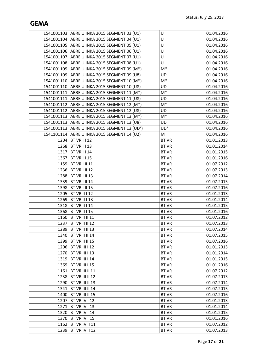|      | 1541001103   ABRE U INKA 2015 SEGMENT 03 (U1)  | U              | 01.04.2016 |
|------|------------------------------------------------|----------------|------------|
|      | 1541001104   ABRE U INKA 2015 SEGMENT 04 (U1)  | U              | 01.04.2016 |
|      | 1541001105   ABRE U INKA 2015 SEGMENT 05 (U1)  | U              | 01.04.2016 |
|      | 1541001106   ABRE U INKA 2015 SEGMENT 06 (U1)  | U              | 01.04.2016 |
|      | 1541001107   ABRE U INKA 2015 SEGMENT 07 (U1)  | U              | 01.04.2016 |
|      | 1541001108   ABRE U INKA 2015 SEGMENT 08 (U1)  | U              | 01.04.2016 |
|      | 1541001109   ABRE U INKA 2015 SEGMENT 09 (M*)  | $\mathsf{M}^*$ | 01.04.2016 |
|      | 1541001109   ABRE U INKA 2015 SEGMENT 09 (U8)  | <b>UD</b>      | 01.04.2016 |
|      | 1541001110   ABRE U INKA 2015 SEGMENT 10 (M*)  | $\mathsf{M}^*$ | 01.04.2016 |
|      | 1541001110   ABRE U INKA 2015 SEGMENT 10 (U8)  | UD             | 01.04.2016 |
|      | 1541001111   ABRE U INKA 2015 SEGMENT 11 (M*)  | $M^*$          | 01.04.2016 |
|      | 1541001111   ABRE U INKA 2015 SEGMENT 11 (U8)  | <b>UD</b>      | 01.04.2016 |
|      | 1541001112   ABRE U INKA 2015 SEGMENT 12 (M*)  | $M^*$          | 01.04.2016 |
|      | 1541001112   ABRE U INKA 2015 SEGMENT 12 (U8)  | <b>UD</b>      | 01.04.2016 |
|      | 1541001113   ABRE U INKA 2015 SEGMENT 13 (M*)  | $M^*$          | 01.04.2016 |
|      | 1541001113   ABRE U INKA 2015 SEGMENT 13 (U8)  | UD             | 01.04.2016 |
|      | 1541001113   ABRE U INKA 2015 SEGMENT 13 (UD°) | UD°            | 01.04.2016 |
|      | 1541101114   ABRE U INKA 2015 SEGMENT 14 (U2)  | M              | 01.04.2016 |
| 1204 | BT VR I I 12                                   | <b>BT VR</b>   | 01.01.2013 |
|      | 1268 BT VR I I 13                              | <b>BT VR</b>   | 01.01.2014 |
| 1317 | BTVRII14                                       | <b>BT VR</b>   | 01.01.2015 |
| 1367 | <b>BT VR I I 15</b>                            | <b>BT VR</b>   | 01.01.2016 |
| 1159 | <b>BT VR I II 11</b>                           | <b>BT VR</b>   | 01.07.2012 |
| 1236 | <b>BT VR I II 12</b>                           | <b>BT VR</b>   | 01.07.2013 |
| 1288 | <b>BT VR I II 13</b>                           | <b>BT VR</b>   | 01.07.2014 |
| 1339 | <b>BT VR I II 14</b>                           | <b>BT VR</b>   | 01.07.2015 |
| 1398 | <b>BT VR I II 15</b>                           | <b>BT VR</b>   | 01.07.2016 |
| 1205 | <b>BT VR II I 12</b>                           | <b>BT VR</b>   | 01.01.2013 |
| 1269 | <b>BT VR II I 13</b>                           | <b>BT VR</b>   | 01.01.2014 |
|      | 1318 BT VR II   14                             | <b>BT VR</b>   | 01.01.2015 |
|      | 1368 BT VR II   15                             | <b>BT VR</b>   | 01.01.2016 |
|      | 1160   BT VR II II 11                          | <b>BT VR</b>   | 01.07.2012 |
|      | 1237 BT VR II II 12                            | <b>BT VR</b>   | 01.07.2013 |
| 1289 | BT VR II II 13                                 | <b>BT VR</b>   | 01.07.2014 |
| 1340 | <b>BT VR II II 14</b>                          | <b>BT VR</b>   | 01.07.2015 |
| 1399 | <b>BT VR II II 15</b>                          | <b>BT VR</b>   | 01.07.2016 |
| 1206 | <b>BT VR III I 12</b>                          | <b>BT VR</b>   | 01.01.2013 |
| 1270 | <b>BT VR III I 13</b>                          | <b>BT VR</b>   | 01.01.2014 |
| 1319 | <b>BT VR III I 14</b>                          | <b>BT VR</b>   | 01.01.2015 |
| 1369 | <b>BT VR III I 15</b>                          | <b>BT VR</b>   | 01.01.2016 |
| 1161 | <b>BT VR III II 11</b>                         | <b>BT VR</b>   | 01.07.2012 |
| 1238 | <b>BT VR III II 12</b>                         | <b>BT VR</b>   | 01.07.2013 |
| 1290 | BT VR III II 13                                | <b>BT VR</b>   | 01.07.2014 |
| 1341 | <b>BT VR III II 14</b>                         | <b>BT VR</b>   | 01.07.2015 |
| 1400 | <b>BT VR III II 15</b>                         | <b>BT VR</b>   | 01.07.2016 |
| 1207 | BT VR IV I 12                                  | <b>BT VR</b>   | 01.01.2013 |
| 1271 | BT VR IV I 13                                  | <b>BT VR</b>   | 01.01.2014 |
| 1320 | BT VR IV I 14                                  | <b>BT VR</b>   | 01.01.2015 |
| 1370 | BT VR IV I 15                                  | <b>BT VR</b>   | 01.01.2016 |
| 1162 | BT VR IV II 11                                 | <b>BT VR</b>   | 01.07.2012 |
| 1239 | BT VR IV II 12                                 | <b>BT VR</b>   | 01.07.2013 |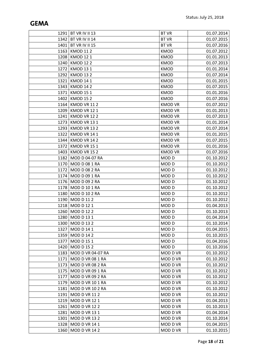|      | 1291   BT VR IV II 13<br>1342 BT VR IV II 14 | <b>BT VR</b><br><b>BT VR</b> | 01.07.2014               |
|------|----------------------------------------------|------------------------------|--------------------------|
| 1401 | BT VR IV II 15                               | <b>BT VR</b>                 | 01.07.2015               |
| 1163 | <b>KMOD 112</b>                              | <b>KMOD</b>                  | 01.07.2016<br>01.07.2012 |
| 1208 | <b>KMOD 121</b>                              | <b>KMOD</b>                  | 01.01.2013               |
| 1240 | <b>KMOD 122</b>                              | <b>KMOD</b>                  | 01.07.2013               |
| 1272 | <b>KMOD 131</b>                              | <b>KMOD</b>                  | 01.01.2014               |
| 1292 | <b>KMOD 132</b>                              | <b>KMOD</b>                  | 01.07.2014               |
| 1321 | <b>KMOD 141</b>                              | <b>KMOD</b>                  | 01.01.2015               |
| 1343 | <b>KMOD 142</b>                              | <b>KMOD</b>                  | 01.07.2015               |
| 1371 | <b>KMOD 151</b>                              | <b>KMOD</b>                  | 01.01.2016               |
| 1402 | <b>KMOD 152</b>                              | <b>KMOD</b>                  | 01.07.2016               |
| 1164 | KMOD VR 112                                  | <b>KMOD VR</b>               | 01.07.2012               |
| 1209 | KMOD VR 121                                  | <b>KMOD VR</b>               | 01.01.2013               |
| 1241 | KMOD VR 122                                  | <b>KMOD VR</b>               | 01.07.2013               |
| 1273 | KMOD VR 131                                  | <b>KMOD VR</b>               | 01.01.2014               |
| 1293 | KMOD VR 132                                  | <b>KMOD VR</b>               | 01.07.2014               |
| 1322 | KMOD VR 141                                  | <b>KMOD VR</b>               | 01.01.2015               |
| 1344 | KMOD VR 142                                  | <b>KMOD VR</b>               | 01.07.2015               |
| 1372 | KMOD VR 151                                  | <b>KMOD VR</b>               | 01.01.2016               |
| 1403 | KMOD VR 152                                  | <b>KMOD VR</b>               | 01.07.2016               |
| 1182 | MOD D 04-07 RA                               | MOD <sub>D</sub>             | 01.10.2012               |
| 1170 | <b>MOD D 08 1 RA</b>                         | MOD <sub>D</sub>             | 01.10.2012               |
| 1172 | <b>MOD D 08 2 RA</b>                         | MOD D                        | 01.10.2012               |
| 1174 | MOD D 09 1 RA                                | MOD <sub>D</sub>             | 01.10.2012               |
|      | 1176   MOD D 09 2 RA                         | MOD D                        | 01.10.2012               |
| 1178 | <b>MOD D 10 1 RA</b>                         | MOD <sub>D</sub>             | 01.10.2012               |
| 1180 | <b>MOD D 10 2 RA</b>                         | MOD D                        | 01.10.2012               |
| 1190 | <b>MOD D 112</b>                             | MOD D                        | 01.10.2012               |
|      | 1218 MOD D 12 1                              | MOD <sub>D</sub>             | 01.04.2013               |
| 1260 | <b>MOD D 122</b>                             | MOD D                        | 01.10.2013               |
|      | 1280   MOD D 13 1                            | MOD <sub>D</sub>             | 01.04.2014               |
|      | 1300   MOD D 13 2                            | MOD <sub>D</sub>             | 01.10.2014               |
|      | 1327   MOD D 14 1                            | MOD D                        | 01.04.2015               |
|      | 1359   MOD D 14 2                            | MOD D                        | 01.10.2015               |
| 1377 | MOD D 151                                    | MOD <sub>D</sub>             | 01.04.2016               |
| 1420 | <b>MOD D 152</b>                             | MOD D                        | 01.10.2016               |
| 1183 | MOD D VR 04-07 RA                            | MOD D VR                     | 01.10.2012               |
| 1171 | MOD D VR 08 1 RA                             | MOD D VR                     | 01.10.2012               |
| 1173 | MOD D VR 08 2 RA                             | MOD D VR                     | 01.10.2012               |
| 1175 | MOD D VR 09 1 RA                             | MOD D VR                     | 01.10.2012               |
| 1177 | MOD D VR 09 2 RA                             | MOD D VR                     | 01.10.2012               |
| 1179 | MOD D VR 10 1 RA                             | MOD D VR                     | 01.10.2012               |
| 1181 | MOD D VR 10 2 RA                             | MOD D VR                     | 01.10.2012               |
| 1191 | <b>MOD D VR 112</b>                          | MOD D VR                     | 01.10.2012               |
| 1219 | <b>MOD D VR 121</b>                          | MOD D VR                     | 01.04.2013               |
| 1261 | <b>MOD D VR 122</b>                          | MOD D VR                     | 01.10.2013               |
| 1281 | <b>MOD D VR 131</b>                          | MOD D VR                     | 01.04.2014               |
|      | 1301   MOD D VR 132                          | MOD D VR                     | 01.10.2014               |
| 1328 | <b>MOD D VR 141</b>                          | MOD D VR                     | 01.04.2015               |
| 1360 | <b>MOD D VR 142</b>                          | MOD D VR                     | 01.10.2015               |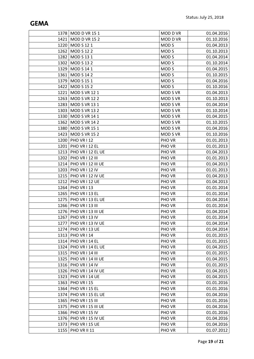|      | 1378 MOD D VR 15 1       | MOD D VR         | 01.04.2016 |
|------|--------------------------|------------------|------------|
| 1421 | <b>MOD D VR 152</b>      | MOD D VR         | 01.10.2016 |
| 1220 | MOD S 12 1               | MOD <sub>S</sub> | 01.04.2013 |
| 1262 | <b>MOD S 12 2</b>        | MOD <sub>S</sub> | 01.10.2013 |
| 1282 | MOD S 13 1               | MOD <sub>S</sub> | 01.04.2014 |
| 1302 | <b>MOD S 132</b>         | MOD <sub>S</sub> | 01.10.2014 |
|      | 1329 MOD S 14 1          | MOD <sub>S</sub> | 01.04.2015 |
| 1361 | <b>MOD S 142</b>         | MOD <sub>S</sub> | 01.10.2015 |
| 1379 | <b>MOD S 15 1</b>        | MOD <sub>S</sub> | 01.04.2016 |
| 1422 | <b>MOD S 15 2</b>        | MOD <sub>S</sub> | 01.10.2016 |
| 1221 | <b>MOD S VR 121</b>      | <b>MOD S VR</b>  | 01.04.2013 |
| 1263 | <b>MOD S VR 122</b>      | <b>MOD S VR</b>  | 01.10.2013 |
| 1283 | <b>MOD S VR 131</b>      | <b>MOD S VR</b>  | 01.04.2014 |
| 1303 | <b>MOD S VR 132</b>      | <b>MOD S VR</b>  | 01.10.2014 |
| 1330 | <b>MOD S VR 141</b>      | MOD S VR         | 01.04.2015 |
| 1362 | <b>MOD S VR 142</b>      | MOD S VR         | 01.10.2015 |
| 1380 | <b>MOD S VR 151</b>      | <b>MOD S VR</b>  | 01.04.2016 |
| 1423 | <b>MOD S VR 152</b>      | MOD S VR         | 01.10.2016 |
|      | 1200   PHO VR I 12       | PHO VR           | 01.01.2013 |
| 1201 | PHO VR I 12 EL           | PHO VR           | 01.01.2013 |
|      | 1213   PHO VR I 12 EL UE | PHO VR           | 01.04.2013 |
| 1202 | PHO VR I 12 III          | PHO VR           | 01.01.2013 |
| 1214 | PHO VR I 12 III UE       | PHO VR           | 01.04.2013 |
| 1203 | PHO VR I 12 IV           | PHO VR           | 01.01.2013 |
|      | 1215   PHO VR I 12 IV UE | PHO VR           | 01.04.2013 |
|      | 1212 PHO VR I 12 UE      | PHO VR           | 01.04.2013 |
| 1264 | PHO VR I 13              | PHO VR           | 01.01.2014 |
| 1265 | PHO VR I 13 EL           | PHO VR           | 01.01.2014 |
|      | 1275   PHO VR I 13 EL UE | PHO VR           | 01.04.2014 |
|      | 1266 PHO VR   13 III     | PHO VR           | 01.01.2014 |
| 1276 | PHO VR I 13 III UE       | PHO VR           | 01.04.2014 |
| 1267 | PHO VR I 13 IV           | PHO VR           | 01.01.2014 |
|      | 1277   PHO VR I 13 IV UE | PHO VR           | 01.04.2014 |
| 1274 | PHO VR I 13 UE           | PHO VR           | 01.04.2014 |
|      | 1313   PHO VR I 14       | PHO VR           | 01.01.2015 |
| 1314 | PHO VR I 14 EL           | PHO VR           | 01.01.2015 |
| 1324 | PHO VR I 14 EL UE        | PHO VR           | 01.04.2015 |
|      | 1315   PHO VR I 14 III   | PHO VR           | 01.01.2015 |
| 1325 | PHO VR I 14 III UE       | PHO VR           | 01.04.2015 |
| 1316 | PHO VR I 14 IV           | PHO VR           | 01.01.2015 |
|      | 1326   PHO VR   14 IV UE | PHO VR           | 01.04.2015 |
| 1323 | PHO VR I 14 UE           | PHO VR           | 01.04.2015 |
| 1363 | PHO VR I 15              | PHO VR           | 01.01.2016 |
| 1364 | PHO VR I 15 EL           | PHO VR           | 01.01.2016 |
| 1374 | PHO VR I 15 EL UE        | PHO VR           | 01.04.2016 |
| 1365 | PHO VR I 15 III          | PHO VR           | 01.01.2016 |
| 1375 | PHO VR I 15 III UE       | PHO VR           | 01.04.2016 |
| 1366 | PHO VR I 15 IV           | PHO VR           | 01.01.2016 |
| 1376 | PHO VR I 15 IV UE        | PHO VR           | 01.04.2016 |
| 1373 | PHO VR I 15 UE           | PHO VR           | 01.04.2016 |
| 1155 | PHO VR II 11             | PHO VR           | 01.07.2012 |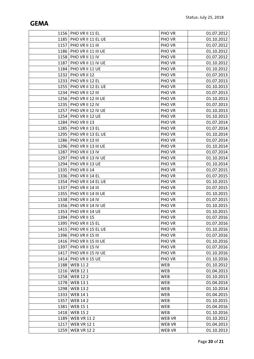|      | 1156   PHO VR II 11 EL     | <b>PHO VR</b> | 01.07.2012 |
|------|----------------------------|---------------|------------|
|      | 1185   PHO VR II 11 EL UE  | PHO VR        | 01.10.2012 |
| 1157 | PHO VR II 11 III           | PHO VR        | 01.07.2012 |
| 1186 | PHO VR II 11 III UE        | PHO VR        | 01.10.2012 |
| 1158 | PHO VR II 11 IV            | PHO VR        | 01.07.2012 |
| 1187 | PHO VR II 11 IV UE         | PHO VR        | 01.10.2012 |
| 1184 | PHO VR II 11 UE            | PHO VR        | 01.10.2012 |
|      | 1232 PHO VR II 12          | PHO VR        | 01.07.2013 |
| 1233 | PHO VR II 12 EL            | PHO VR        | 01.07.2013 |
| 1255 | PHO VR II 12 EL UE         | PHO VR        | 01.10.2013 |
| 1234 | PHO VR II 12 III           | PHO VR        | 01.07.2013 |
| 1256 | PHO VR II 12 III UE        | PHO VR        | 01.10.2013 |
| 1235 | PHO VR II 12 IV            | PHO VR        | 01.07.2013 |
| 1257 | PHO VR II 12 IV UE         | PHO VR        | 01.10.2013 |
| 1254 | PHO VR II 12 UE            | PHO VR        | 01.10.2013 |
| 1284 | PHO VR II 13               | PHO VR        | 01.07.2014 |
| 1285 | PHO VR II 13 EL            | PHO VR        | 01.07.2014 |
| 1295 | PHO VR II 13 EL UE         | PHO VR        | 01.10.2014 |
| 1286 | <b>PHO VR II 13 III</b>    | PHO VR        | 01.07.2014 |
|      | 1296   PHO VR II 13 III UE | PHO VR        | 01.10.2014 |
| 1287 | PHO VR II 13 IV            | PHO VR        | 01.07.2014 |
| 1297 | PHO VR II 13 IV UE         | PHO VR        | 01.10.2014 |
| 1294 | PHO VR II 13 UE            | <b>PHO VR</b> | 01.10.2014 |
| 1335 | PHO VR II 14               | PHO VR        | 01.07.2015 |
| 1336 | PHO VR II 14 EL            | PHO VR        | 01.07.2015 |
| 1354 | PHO VR II 14 EL UE         | PHO VR        | 01.10.2015 |
| 1337 | PHO VR II 14 III           | PHO VR        | 01.07.2015 |
| 1355 | PHO VR II 14 III UE        | PHO VR        | 01.10.2015 |
| 1338 | PHO VR II 14 IV            | PHO VR        | 01.07.2015 |
| 1356 | PHO VR II 14 IV UE         | PHO VR        | 01.10.2015 |
| 1353 | PHO VR II 14 UE            | PHO VR        | 01.10.2015 |
|      | 1394   PHO VR II 15        | PHO VR        | 01.07.2016 |
| 1395 | PHO VR II 15 EL            | PHO VR        | 01.07.2016 |
|      | 1415   PHO VR II 15 EL UE  | PHO VR        | 01.10.2016 |
| 1396 | PHO VR II 15 III           | PHO VR        | 01.07.2016 |
|      | 1416   PHO VR II 15 III UE | PHO VR        | 01.10.2016 |
| 1397 | PHO VR II 15 IV            | PHO VR        | 01.07.2016 |
| 1417 | PHO VR II 15 IV UE         | PHO VR        | 01.10.2016 |
| 1414 | PHO VR II 15 UE            | PHO VR        | 01.10.2016 |
| 1188 | <b>WEB 112</b>             | <b>WEB</b>    | 01.10.2012 |
| 1216 | <b>WEB 121</b>             | <b>WEB</b>    | 01.04.2013 |
| 1258 | <b>WEB 122</b>             | <b>WEB</b>    | 01.10.2013 |
| 1278 | <b>WEB 131</b>             | <b>WEB</b>    | 01.04.2014 |
| 1298 | <b>WEB 132</b>             | <b>WEB</b>    | 01.10.2014 |
| 1333 | <b>WEB 141</b>             | <b>WEB</b>    | 01.04.2015 |
| 1357 | <b>WEB 142</b>             | <b>WEB</b>    | 01.10.2015 |
| 1381 | <b>WEB 151</b>             | <b>WEB</b>    | 01.04.2016 |
| 1418 | <b>WEB 152</b>             | <b>WEB</b>    | 01.10.2016 |
| 1189 | <b>WEB VR 112</b>          | <b>WEB VR</b> | 01.10.2012 |
| 1217 | <b>WEB VR 121</b>          | <b>WEB VR</b> | 01.04.2013 |
| 1259 | <b>WEB VR 122</b>          | <b>WEB VR</b> | 01.10.2013 |